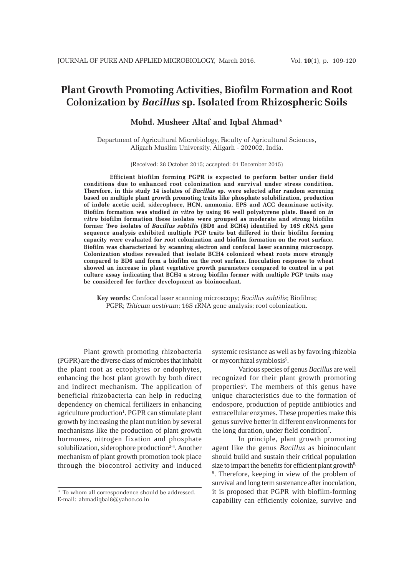# **Plant Growth Promoting Activities, Biofilm Formation and Root Colonization by** *Bacillus* **sp. Isolated from Rhizospheric Soils**

# **Mohd. Musheer Altaf and Iqbal Ahmad\***

Department of Agricultural Microbiology, Faculty of Agricultural Sciences, Aligarh Muslim University, Aligarh - 202002, India.

(Received: 28 October 2015; accepted: 01 December 2015)

**Efficient biofilm forming PGPR is expected to perform better under field conditions due to enhanced root colonization and survival under stress condition. Therefore, in this study 14 isolates of** *Bacillus* **sp. were selected after random screening based on multiple plant growth promoting traits like phosphate solubilization, production of indole acetic acid, siderophore, HCN, ammonia, EPS and ACC deaminase activity. Biofilm formation was studied** *in vitro* **by using 96 well polystyrene plate. Based on** *in vitro* **biofilm formation these isolates were grouped as moderate and strong biofilm former. Two isolates of** *Bacillus subtilis* **(BD6 and BCH4) identified by 16S rRNA gene sequence analysis exhibited multiple PGP traits but differed in their biofilm forming capacity were evaluated for root colonization and biofilm formation on the root surface. Biofilm was characterized by scanning electron and confocal laser scanning microscopy. Colonization studies revealed that isolate BCH4 colonized wheat roots more strongly compared to BD6 and form a biofilm on the root surface. Inoculation response to wheat showed an increase in plant vegetative growth parameters compared to control in a pot culture assay indicating that BCH4 a strong biofilm former with multiple PGP traits may be considered for further development as bioinoculant.**

**Key words**: Confocal laser scanning microscopy; *Bacillus subtilis*; Biofilms; PGPR; *Triticum aestivum*; 16S rRNA gene analysis; root colonization.

Plant growth promoting rhizobacteria (PGPR) are the diverse class of microbes that inhabit the plant root as ectophytes or endophytes, enhancing the host plant growth by both direct and indirect mechanism. The application of beneficial rhizobacteria can help in reducing dependency on chemical fertilizers in enhancing agriculture production<sup>1</sup>. PGPR can stimulate plant growth by increasing the plant nutrition by several mechanisms like the production of plant growth hormones, nitrogen fixation and phosphate solubilization, siderophore production $2-4$ . Another mechanism of plant growth promotion took place through the biocontrol activity and induced

systemic resistance as well as by favoring rhizobia or mycorrhizal symbiosis<sup>5</sup>.

Various species of genus *Bacillus* are well recognized for their plant growth promoting properties<sup>6</sup>. The members of this genus have unique characteristics due to the formation of endospore, production of peptide antibiotics and extracellular enzymes. These properties make this genus survive better in different environments for the long duration, under field condition<sup>7</sup>.

In principle, plant growth promoting agent like the genus *Bacillus* as bioinoculant should build and sustain their critical population size to impart the benefits for efficient plant growth $8$ , 9 . Therefore, keeping in view of the problem of survival and long term sustenance after inoculation, it is proposed that PGPR with biofilm-forming capability can efficiently colonize, survive and

<sup>\*</sup> To whom all correspondence should be addressed. E-mail: ahmadiqbal8@yahoo.co.in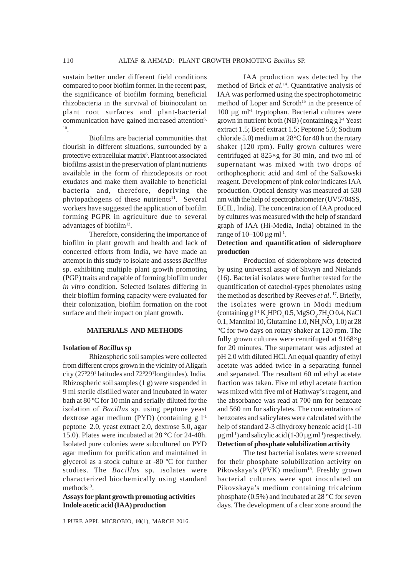sustain better under different field conditions compared to poor biofilm former. In the recent past, the significance of biofilm forming beneficial rhizobacteria in the survival of bioinoculant on plant root surfaces and plant-bacterial communication have gained increased attention<sup>6,</sup> 10.

Biofilms are bacterial communities that flourish in different situations, surrounded by a protective extracellular matrix<sup>6</sup>. Plant root associated biofilms assist in the preservation of plant nutrients available in the form of rhizodeposits or root exudates and make them available to beneficial bacteria and, therefore, depriving the phytopathogens of these nutrients<sup>11</sup>. Several workers have suggested the application of biofilm forming PGPR in agriculture due to several advantages of biofilm $12$ .

Therefore, considering the importance of biofilm in plant growth and health and lack of concerted efforts from India, we have made an attempt in this study to isolate and assess *Bacillus* sp. exhibiting multiple plant growth promoting (PGP) traits and capable of forming biofilm under *in vitro* condition. Selected isolates differing in their biofilm forming capacity were evaluated for their colonization, biofilm formation on the root surface and their impact on plant growth.

#### **MATERIALS AND METHODS**

## **Isolation of** *Bacillus* **sp**

Rhizospheric soil samples were collected from different crops grown in the vicinity of Aligarh city (270 291 latitudes and 720 291 longitudes), India. Rhizospheric soil samples (1 g) were suspended in 9 ml sterile distilled water and incubated in water bath at 80 ºC for 10 min and serially diluted for the isolation of *Bacillus* sp. using peptone yeast dextrose agar medium (PYD) (containing  $g l^{-1}$ peptone 2.0, yeast extract 2.0, dextrose 5.0, agar 15.0). Plates were incubated at 28 °C for 24-48h. Isolated pure colonies were subcultured on PYD agar medium for purification and maintained in glycerol as a stock culture at -80 ºC for further studies. The *Bacillus* sp. isolates were characterized biochemically using standard methods $13$ .

**Assays for plant growth promoting activities Indole acetic acid (IAA) production**

J PURE APPL MICROBIO*,* **10**(1), MARCH 2016.

IAA production was detected by the method of Brick *et al*. 14. Quantitative analysis of IAA was performed using the spectrophotometric method of Loper and Scroth<sup>15</sup> in the presence of 100 µg ml-1 tryptophan. Bacterial cultures were grown in nutrient broth (NB) (containing  $g l^{-1}$  Yeast extract 1.5; Beef extract 1.5; Peptone 5.0; Sodium chloride 5.0) medium at 28°C for 48 h on the rotary shaker (120 rpm). Fully grown cultures were centrifuged at 825×g for 30 min, and two ml of supernatant was mixed with two drops of orthophosphoric acid and 4ml of the Salkowski reagent. Development of pink color indicates IAA production. Optical density was measured at 530 nm with the help of spectrophotometer (UV5704SS, ECIL, India). The concentration of IAA produced by cultures was measured with the help of standard graph of IAA (Hi-Media, India) obtained in the range of  $10-100 \mu$ g ml<sup>-1</sup>.

# **Detection and quantification of siderophore production**

Production of siderophore was detected by using universal assay of Shwyn and Nielands (16). Bacterial isolates were further tested for the quantification of catechol-types phenolates using the method as described by Reeves *et al*. 17. Briefly, the isolates were grown in Modi medium  $\frac{1}{2}$  (containing g l<sup>-1</sup> K<sub>2</sub>HPO<sub>4</sub> 0.5, MgSO<sub>4</sub>.7H<sub>2</sub>O 0.4, NaCl 0.1, Mannitol 10, Glutamine 1.0,  $NH<sub>4</sub>NO<sub>3</sub> 1.0$  at 28 °C for two days on rotary shaker at 120 rpm. The fully grown cultures were centrifuged at 9168×g for 20 minutes. The supernatant was adjusted at pH 2.0 with diluted HCl. An equal quantity of ethyl acetate was added twice in a separating funnel and separated. The resultant 60 ml ethyl acetate fraction was taken. Five ml ethyl acetate fraction was mixed with five ml of Hathway's reagent, and the absorbance was read at 700 nm for benzoate and 560 nm for salicylates. The concentrations of benzoates and salicylates were calculated with the help of standard 2-3 dihydroxy benzoic acid (1-10  $\mu$ g ml<sup>-1</sup>) and salicylic acid (1-30  $\mu$ g ml<sup>-1</sup>) respectively. **Detection of phosphate solubilization activity**

The test bacterial isolates were screened for their phosphate solubilization activity on Pikovskaya's (PVK) medium<sup>18</sup>. Freshly grown bacterial cultures were spot inoculated on Pikovskaya's medium containing tricalcium phosphate (0.5%) and incubated at 28 °C for seven days. The development of a clear zone around the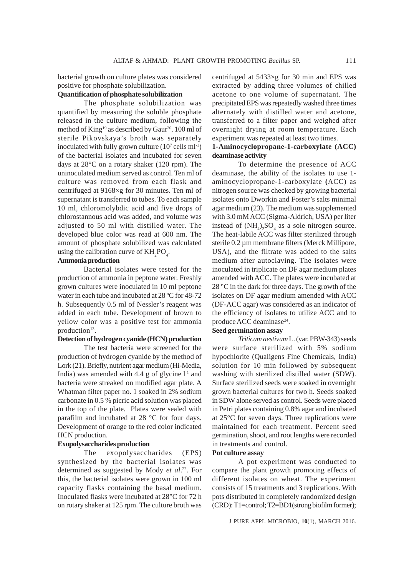bacterial growth on culture plates was considered positive for phosphate solubilization.

# **Quantification of phosphate solubilization**

The phosphate solubilization was quantified by measuring the soluble phosphate released in the culture medium, following the method of King<sup>19</sup> as described by Gaur<sup>20</sup>. 100 ml of sterile Pikovskaya's broth was separately inoculated with fully grown culture  $(10^7 \text{ cells ml-1})$ of the bacterial isolates and incubated for seven days at 28°C on a rotary shaker (120 rpm). The uninoculated medium served as control. Ten ml of culture was removed from each flask and centrifuged at 9168×g for 30 minutes. Ten ml of supernatant is transferred to tubes. To each sample 10 ml, chloromolybdic acid and five drops of chlorostannous acid was added, and volume was adjusted to 50 ml with distilled water. The developed blue color was read at 600 nm. The amount of phosphate solubilized was calculated using the calibration curve of  $KH_{2}PO_{4}$ .

# **Ammonia production**

Bacterial isolates were tested for the production of ammonia in peptone water. Freshly grown cultures were inoculated in 10 ml peptone water in each tube and incubated at 28 °C for 48-72 h. Subsequently 0.5 ml of Nessler's reagent was added in each tube. Development of brown to yellow color was a positive test for ammonia production<sup>13</sup>.

## **Detection of hydrogen cyanide (HCN) production**

The test bacteria were screened for the production of hydrogen cyanide by the method of Lork (21). Briefly, nutrient agar medium (Hi-Media, India) was amended with 4.4 g of glycine  $l<sup>-1</sup>$  and bacteria were streaked on modified agar plate. A Whatman filter paper no. 1 soaked in 2% sodium carbonate in 0.5 % picric acid solution was placed in the top of the plate. Plates were sealed with parafilm and incubated at 28 °C for four days. Development of orange to the red color indicated HCN production.

# **Exopolysaccharides production**

The exopolysaccharides (EPS) synthesized by the bacterial isolates was determined as suggested by Mody *et al*. 22. For this, the bacterial isolates were grown in 100 ml capacity flasks containing the basal medium. Inoculated flasks were incubated at 28°C for 72 h on rotary shaker at 125 rpm. The culture broth was

centrifuged at 5433×g for 30 min and EPS was extracted by adding three volumes of chilled acetone to one volume of supernatant. The precipitated EPS was repeatedly washed three times alternately with distilled water and acetone, transferred to a filter paper and weighed after overnight drying at room temperature. Each experiment was repeated at least two times.

# **1-Aminocyclopropane-1-carboxylate (ACC) deaminase activity**

To determine the presence of ACC deaminase, the ability of the isolates to use 1 aminocyclopropane-1-carboxylate **(**ACC) as nitrogen source was checked by growing bacterial isolates onto Dworkin and Foster's salts minimal agar medium (23). The medium was supplemented with 3.0 mM ACC (Sigma-Aldrich, USA) per liter instead of  $(NH_4)_2SO_4$  as a sole nitrogen source. The heat-labile ACC was filter sterilized through sterile 0.2 µm membrane filters (Merck Millipore, USA), and the filtrate was added to the salts medium after autoclaving. The isolates were inoculated in triplicate on DF agar medium plates amended with ACC. The plates were incubated at 28 °C in the dark for three days. The growth of the isolates on DF agar medium amended with ACC (DF-ACC agar) was considered as an indicator of the efficiency of isolates to utilize ACC and to produce ACC deaminase<sup>24</sup>.

## **Seed germination assay**

*Triticum aestivum* L. (var. PBW-343) seeds were surface sterilized with 5% sodium hypochlorite (Qualigens Fine Chemicals, India) solution for 10 min followed by subsequent washing with sterilized distilled water (SDW). Surface sterilized seeds were soaked in overnight grown bacterial cultures for two h. Seeds soaked in SDW alone served as control. Seeds were placed in Petri plates containing 0.8% agar and incubated at 25°C for seven days. Three replications were maintained for each treatment. Percent seed germination, shoot, and root lengths were recorded in treatments and control.

# **Pot culture assay**

A pot experiment was conducted to compare the plant growth promoting effects of different isolates on wheat. The experiment consists of 15 treatments and 3 replications. With pots distributed in completely randomized design (CRD): T1=control; T2=BD1(strong biofilm former);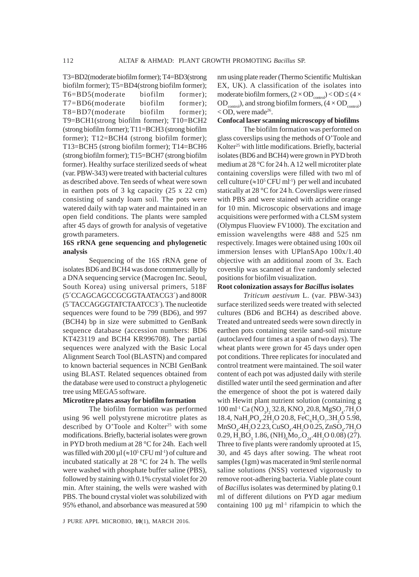T3=BD2(moderate biofilm former); T4=BD3(strong biofilm former); T5=BD4(strong biofilm former); T6=BD5(moderate biofilm former); T7=BD6(moderate biofilm former); T8=BD7(moderate biofilm former); T9=BCH1(strong biofilm former); T10=BCH2 (strong biofilm former); T11=BCH3 (strong biofilm former); T12=BCH4 (strong biofilm former); T13=BCH5 (strong biofilm former); T14=BCH6 (strong biofilm former); T15=BCH7 (strong biofilm former). Healthy surface sterilized seeds of wheat (var. PBW-343) were treated with bacterial cultures as described above. Ten seeds of wheat were sown in earthen pots of 3 kg capacity (25 x 22 cm) consisting of sandy loam soil. The pots were watered daily with tap water and maintained in an open field conditions. The plants were sampled after 45 days of growth for analysis of vegetative growth parameters.

# **16S rRNA gene sequencing and phylogenetic analysis**

Sequencing of the 16S rRNA gene of isolates BD6 and BCH4 was done commercially by a DNA sequencing service (Macrogen Inc. Seoul, South Korea) using universal primers, 518F (5´CCAGCAGCCGCGGTAATACG3´) and 800R (5´TACCAGGGTATCTAATCC3´). The nucleotide sequences were found to be 799 (BD6), and 997 (BCH4) bp in size were submitted to GenBank sequence database (accession numbers: BD6 KT423119 and BCH4 KR996708). The partial sequences were analyzed with the Basic Local Alignment Search Tool (BLASTN) and compared to known bacterial sequences in NCBI GenBank using BLAST. Related sequences obtained from the database were used to construct a phylogenetic tree using MEGA5 software.

## **Microtitre plates assay for biofilm formation**

The biofilm formation was performed using 96 well polystyrene microtitre plates as described by O'Toole and Kolter<sup>25</sup> with some modifications. Briefly, bacterial isolates were grown in PYD broth medium at 28 °C for 24h. Each well was filled with  $200 \mu l$  (≈10<sup>5</sup> CFU ml<sup>-1</sup>) of culture and incubated statically at 28 °C for 24 h. The wells were washed with phosphate buffer saline (PBS), followed by staining with 0.1% crystal violet for 20 min. After staining, the wells were washed with PBS. The bound crystal violet was solubilized with 95% ethanol, and absorbance was measured at 590

nm using plate reader (Thermo Scientific Multiskan EX, UK). A classification of the isolates into moderate biofilm formers,  $(2 \times OD_{control})$  <  $OD \leq (4 \times$  $OD_{control}$ ), and strong biofilm formers,  $(4 \times OD_{control})$  $<$  OD, were made<sup>26</sup>.

#### **Confocal laser scanning microscopy of biofilms**

The biofilm formation was performed on glass coverslips using the methods of O'Toole and Kolter<sup>25</sup> with little modifications. Briefly, bacterial isolates (BD6 and BCH4) were grown in PYD broth medium at 28 °C for 24 h. A 12 well microtiter plate containing coverslips were filled with two ml of cell culture ( $\approx 10^5$  CFU ml<sup>-1</sup>) per well and incubated statically at 28 °C for 24 h. Coverslips were rinsed with PBS and were stained with acridine orange for 10 min. Microscopic observations and image acquisitions were performed with a CLSM system (Olympus Fluoview FV1000). The excitation and emission wavelengths were 488 and 525 nm respectively. Images were obtained using 100x oil immersion lenses with UPlanSApo 100x/1.40 objective with an additional zoom of 3x. Each coverslip was scanned at five randomly selected positions for biofilm visualization.

#### **Root colonization assays for** *Bacillus* **isolates**

*Triticum aestivum* L. (var. PBW-343) surface sterilized seeds were treated with selected cultures (BD6 and BCH4) as described above. Treated and untreated seeds were sown directly in earthen pots containing sterile sand-soil mixture (autoclaved four times at a span of two days). The wheat plants were grown for 45 days under open pot conditions. Three replicates for inoculated and control treatment were maintained. The soil water content of each pot was adjusted daily with sterile distilled water until the seed germination and after the emergence of shoot the pot is watered daily with Hewitt plant nutrient solution (containing g  $100 \text{ ml}^{-1}$  Ca  $\text{(NO}_3\text{)}_2$  32.8, KNO<sub>3</sub> 20.8, MgSO<sub>4</sub>.7H<sub>2</sub>O 18.4, NaH<sub>2</sub>PO<sub>4</sub>.2H<sub>2</sub>O 20.8, FeC<sub>6</sub>H<sub>5</sub>O<sub>7</sub>.3H<sub>2</sub>O 5.98,  $MnSO_4$ .4H<sub>2</sub>O 2.23, CuSO<sub>4</sub>.4H<sub>2</sub>O 0.25, ZnSO<sub>4</sub>.7H<sub>2</sub>O  $0.29, H<sub>3</sub>BO<sub>3</sub> 1.86, (NH)<sub>6</sub>Mo<sub>7</sub> O<sub>24</sub>.4H<sub>2</sub>O 0.08) (27).$ Three to five plants were randomly uprooted at 15, 30, and 45 days after sowing. The wheat root samples (1gm) was macerated in 9ml sterile normal saline solutions (NSS) vortexed vigorously to remove root-adhering bacteria. Viable plate count of *Bacillus* isolates was determined by plating 0.1 ml of different dilutions on PYD agar medium containing  $100 \mu g$  ml<sup>-1</sup> rifampicin to which the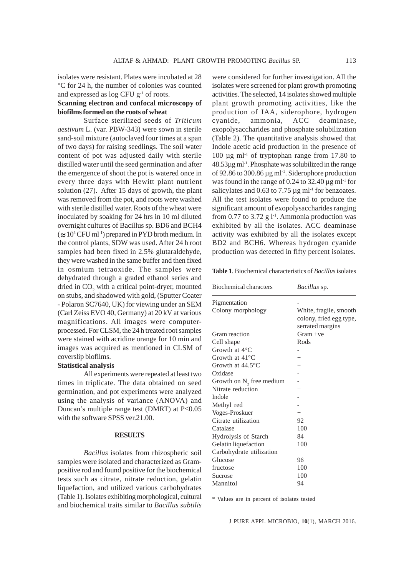isolates were resistant. Plates were incubated at 28 °C for 24 h, the number of colonies was counted and expressed as log CFU  $g^{-1}$  of roots.

# **Scanning electron and confocal microscopy of biofilms formed on the roots of wheat**

Surface sterilized seeds of *Triticum aestivum* L. (var. PBW-343) were sown in sterile sand-soil mixture (autoclaved four times at a span of two days) for raising seedlings. The soil water content of pot was adjusted daily with sterile distilled water until the seed germination and after the emergence of shoot the pot is watered once in every three days with Hewitt plant nutrient solution (27). After 15 days of growth, the plant was removed from the pot, and roots were washed with sterile distilled water. Roots of the wheat were inoculated by soaking for 24 hrs in 10 ml diluted overnight cultures of Bacillus sp. BD6 and BCH4  $(\approx 10^5 \,\mathrm{CFU} \,\mathrm{ml}^{-1})$  prepared in PYD broth medium. In the control plants, SDW was used. After 24 h root samples had been fixed in 2.5% glutaraldehyde, they were washed in the same buffer and then fixed in osmium tetraoxide. The samples were dehydrated through a graded ethanol series and dried in  $CO<sub>2</sub>$  with a critical point-dryer, mounted on stubs, and shadowed with gold, (Sputter Coater - Polaron SC7640, UK) for viewing under an SEM (Carl Zeiss EVO 40, Germany) at 20 kV at various magnifications. All images were computerprocessed. For CLSM, the 24 h treated root samples were stained with acridine orange for 10 min and images was acquired as mentioned in CLSM of coverslip biofilms.

#### **Statistical analysis**

All experiments were repeated at least two times in triplicate. The data obtained on seed germination, and pot experiments were analyzed using the analysis of variance (ANOVA) and Duncan's multiple range test (DMRT) at P≤0.05 with the software SPSS ver.21.00.

#### **RESULTS**

*Bacillus* isolates from rhizospheric soil samples were isolated and characterized as Grampositive rod and found positive for the biochemical tests such as citrate, nitrate reduction, gelatin liquefaction, and utilized various carbohydrates (Table 1). Isolates exhibiting morphological, cultural and biochemical traits similar to *Bacillus subtilis* were considered for further investigation. All the isolates were screened for plant growth promoting activities. The selected, 14 isolates showed multiple plant growth promoting activities, like the production of IAA, siderophore, hydrogen cyanide, ammonia, ACC deaminase, exopolysaccharides and phosphate solubilization (Table 2). The quantitative analysis showed that Indole acetic acid production in the presence of 100 µg ml-1 of tryptophan range from 17.80 to  $48.53\mu$ g ml<sup>-1</sup>. Phosphate was solubilized in the range of 92.86 to 300.86 µg ml-1. Siderophore production was found in the range of 0.24 to  $32.40 \,\mu g$  ml<sup>-1</sup> for salicylates and 0.63 to 7.75  $\mu$ g ml<sup>-1</sup> for benzoates. All the test isolates were found to produce the significant amount of exopolysaccharides ranging from 0.77 to 3.72 g  $1<sup>-1</sup>$ . Ammonia production was exhibited by all the isolates. ACC deaminase activity was exhibited by all the isolates except BD2 and BCH6. Whereas hydrogen cyanide production was detected in fifty percent isolates.

**Table 1**. Biochemical characteristics of *Bacillus* isolates

| Biochemical characters       | <i>Bacillus</i> sp.                                                   |  |
|------------------------------|-----------------------------------------------------------------------|--|
| Pigmentation                 |                                                                       |  |
| Colony morphology            | White, fragile, smooth<br>colony, fried egg type,<br>serrated margins |  |
| Gram reaction                | Gram +ve                                                              |  |
| Cell shape                   | Rods                                                                  |  |
| Growth at $4^{\circ}$ C      |                                                                       |  |
| Growth at $41^{\circ}$ C     | $^{+}$                                                                |  |
| Growth at $44.5^{\circ}$ C   | $^{+}$                                                                |  |
| Oxidase                      |                                                                       |  |
| Growth on $N2$ , free medium |                                                                       |  |
| Nitrate reduction            | $^{+}$                                                                |  |
| Indole                       |                                                                       |  |
| Methyl red                   |                                                                       |  |
| Voges-Proskuer               | $^{+}$                                                                |  |
| Citrate utilization          | 92                                                                    |  |
| Catalase                     | 100                                                                   |  |
| Hydrolysis of Starch         | 84                                                                    |  |
| Gelatin liquefaction         | 100                                                                   |  |
| Carbohydrate utilization     |                                                                       |  |
| Glucose                      | 96                                                                    |  |
| fructose                     | 100                                                                   |  |
| Sucrose                      | 100                                                                   |  |
| Mannitol                     | 94                                                                    |  |

\* Values are in percent of isolates tested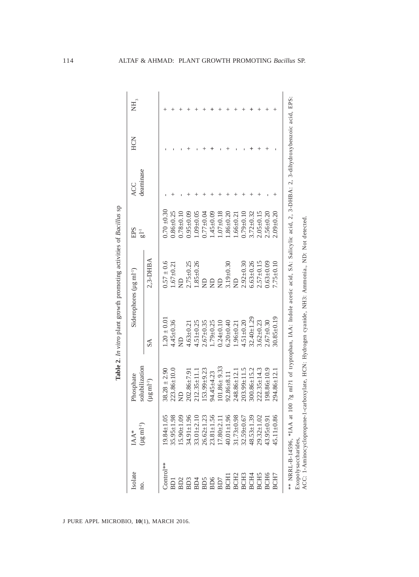| $0.70 \pm 0.30$<br>$2.09 + 0.20$<br>$0.86 \pm 0.25$<br>$0.95 \pm 0.09$<br>$1.45 \pm 0.09$<br>$2.05 \pm 0.15$<br>$2.56 + 0.20$<br>$1.09 + 0.05$<br>$0.07 \pm 0.18$<br>$3.72 \pm 0.32$<br>$0.78 + 0.10$<br>$0.77_{\pm 0.04}$<br>$.86 \pm 0.20$<br>$0.79 + 0.10$<br>$1.66 \pm 0.21$<br>$2,3-DHBA$<br>$7.75 \pm 0.10$<br>$0.57 \pm 0.6$<br>$1.85 \pm 0.26$<br>$6.63 + 0.26$<br>$2.75 \pm 0.25$<br>$2.92 \pm 0.30$<br>$2.57 \pm 0.15$<br>$0.63 \pm 0.09$<br>$3.19 \pm 0.30$<br>$1.67 \pm 0.21$<br>$\Xi$<br>$\frac{1}{2}$<br>$\Xi$<br>$\frac{1}{2}$<br>$\overline{z}$<br>$30.85 \pm 0.19$<br>$32.40 + 1.29$<br>$1.20 \pm 0.01$<br>$4.45 \pm 0.36$<br>$3.62 + 0.23$<br>$2.67 + 0.30$<br>$4.51 + 0.20$<br>$4.51 \pm 0.25$<br>$1.79 \pm 0.25$<br>$2.67 + 0.35$<br>$6.20 + 0.40$<br>$4.63 + 0.21$<br>$0.24 + 0.10$<br>$1.96 + 0.21$<br>$\overline{z}$<br>$\mathbb{S}\Delta$<br>$101.86 \pm 9.33$<br>$198.86 \pm 10.9$<br>$38.28 \pm 2.90$<br>$203.99 \pm 11.5$<br>$222.35 \pm 14.3$<br>$223.86 \pm 10.0$<br>$153.99 + 9.23$<br>$300.86 \pm 15.2$<br>294.86±12.1<br>$202.86 \pm 7.91$<br>$212.35 \pm 11.1$<br>248.86±12.<br>94.45±4.23<br>$92.86 \pm 8.11$<br>$(\mu g \text{ ml}^{-1})$<br>$\frac{D}{Z}$<br>$19.84 \pm 1.05$<br>$35.95 \pm 1.98$<br>$15.90 \pm 1.09$<br>34.91±1.96<br>$33.01 + 2.10$<br>$26.62 \pm 1.23$<br>$23.81 \pm 1.56$<br>$17.80 + 2.11$<br>$40.01 + 1.96$<br>31.73±0.98<br>$32.59 + 0.67$<br>$48.53 \pm 1.39$<br>29.32±1.02<br>43.95±0.91<br>45.11 $\pm$ 0.86<br>Control**<br>BCH <sub>6</sub><br>BCH <sub>5</sub><br>BCH <sub>3</sub><br>BCH4<br>BCH7<br>BCH <sub>2</sub><br><b>BCH</b><br>BD6<br>B <sub>D</sub> <sub>2</sub><br>BD3<br>BD5<br>BD <sub>4</sub><br>BD7<br>BD1 | Isolate<br>Ξ. | $(\mu g\, \text{mJ}^{-1})$<br>$\ensuremath{\mathsf{IAA}}^*$ | solubilization<br>Phosphate | Siderophores $(\mu g \text{ ml}^{-1})$ | <b>EPS</b><br>$\frac{1}{2}$ | deaminase<br><b>ACC</b> | HCN | $\rm \stackrel{1}{H}$ |
|-------------------------------------------------------------------------------------------------------------------------------------------------------------------------------------------------------------------------------------------------------------------------------------------------------------------------------------------------------------------------------------------------------------------------------------------------------------------------------------------------------------------------------------------------------------------------------------------------------------------------------------------------------------------------------------------------------------------------------------------------------------------------------------------------------------------------------------------------------------------------------------------------------------------------------------------------------------------------------------------------------------------------------------------------------------------------------------------------------------------------------------------------------------------------------------------------------------------------------------------------------------------------------------------------------------------------------------------------------------------------------------------------------------------------------------------------------------------------------------------------------------------------------------------------------------------------------------------------------------------------------------------------------------------------------------------|---------------|-------------------------------------------------------------|-----------------------------|----------------------------------------|-----------------------------|-------------------------|-----|-----------------------|
|                                                                                                                                                                                                                                                                                                                                                                                                                                                                                                                                                                                                                                                                                                                                                                                                                                                                                                                                                                                                                                                                                                                                                                                                                                                                                                                                                                                                                                                                                                                                                                                                                                                                                           |               |                                                             |                             |                                        |                             |                         |     |                       |
|                                                                                                                                                                                                                                                                                                                                                                                                                                                                                                                                                                                                                                                                                                                                                                                                                                                                                                                                                                                                                                                                                                                                                                                                                                                                                                                                                                                                                                                                                                                                                                                                                                                                                           |               |                                                             |                             |                                        |                             |                         |     |                       |
|                                                                                                                                                                                                                                                                                                                                                                                                                                                                                                                                                                                                                                                                                                                                                                                                                                                                                                                                                                                                                                                                                                                                                                                                                                                                                                                                                                                                                                                                                                                                                                                                                                                                                           |               |                                                             |                             |                                        |                             |                         |     |                       |
|                                                                                                                                                                                                                                                                                                                                                                                                                                                                                                                                                                                                                                                                                                                                                                                                                                                                                                                                                                                                                                                                                                                                                                                                                                                                                                                                                                                                                                                                                                                                                                                                                                                                                           |               |                                                             |                             |                                        |                             |                         |     |                       |
|                                                                                                                                                                                                                                                                                                                                                                                                                                                                                                                                                                                                                                                                                                                                                                                                                                                                                                                                                                                                                                                                                                                                                                                                                                                                                                                                                                                                                                                                                                                                                                                                                                                                                           |               |                                                             |                             |                                        |                             |                         |     |                       |
|                                                                                                                                                                                                                                                                                                                                                                                                                                                                                                                                                                                                                                                                                                                                                                                                                                                                                                                                                                                                                                                                                                                                                                                                                                                                                                                                                                                                                                                                                                                                                                                                                                                                                           |               |                                                             |                             |                                        |                             |                         |     |                       |
|                                                                                                                                                                                                                                                                                                                                                                                                                                                                                                                                                                                                                                                                                                                                                                                                                                                                                                                                                                                                                                                                                                                                                                                                                                                                                                                                                                                                                                                                                                                                                                                                                                                                                           |               |                                                             |                             |                                        |                             |                         |     |                       |
|                                                                                                                                                                                                                                                                                                                                                                                                                                                                                                                                                                                                                                                                                                                                                                                                                                                                                                                                                                                                                                                                                                                                                                                                                                                                                                                                                                                                                                                                                                                                                                                                                                                                                           |               |                                                             |                             |                                        |                             |                         |     |                       |
|                                                                                                                                                                                                                                                                                                                                                                                                                                                                                                                                                                                                                                                                                                                                                                                                                                                                                                                                                                                                                                                                                                                                                                                                                                                                                                                                                                                                                                                                                                                                                                                                                                                                                           |               |                                                             |                             |                                        |                             |                         |     |                       |
|                                                                                                                                                                                                                                                                                                                                                                                                                                                                                                                                                                                                                                                                                                                                                                                                                                                                                                                                                                                                                                                                                                                                                                                                                                                                                                                                                                                                                                                                                                                                                                                                                                                                                           |               |                                                             |                             |                                        |                             |                         |     |                       |
|                                                                                                                                                                                                                                                                                                                                                                                                                                                                                                                                                                                                                                                                                                                                                                                                                                                                                                                                                                                                                                                                                                                                                                                                                                                                                                                                                                                                                                                                                                                                                                                                                                                                                           |               |                                                             |                             |                                        |                             |                         |     |                       |
|                                                                                                                                                                                                                                                                                                                                                                                                                                                                                                                                                                                                                                                                                                                                                                                                                                                                                                                                                                                                                                                                                                                                                                                                                                                                                                                                                                                                                                                                                                                                                                                                                                                                                           |               |                                                             |                             |                                        |                             |                         |     |                       |
|                                                                                                                                                                                                                                                                                                                                                                                                                                                                                                                                                                                                                                                                                                                                                                                                                                                                                                                                                                                                                                                                                                                                                                                                                                                                                                                                                                                                                                                                                                                                                                                                                                                                                           |               |                                                             |                             |                                        |                             |                         |     |                       |
|                                                                                                                                                                                                                                                                                                                                                                                                                                                                                                                                                                                                                                                                                                                                                                                                                                                                                                                                                                                                                                                                                                                                                                                                                                                                                                                                                                                                                                                                                                                                                                                                                                                                                           |               |                                                             |                             |                                        |                             |                         |     |                       |
|                                                                                                                                                                                                                                                                                                                                                                                                                                                                                                                                                                                                                                                                                                                                                                                                                                                                                                                                                                                                                                                                                                                                                                                                                                                                                                                                                                                                                                                                                                                                                                                                                                                                                           |               |                                                             |                             |                                        |                             |                         |     |                       |
|                                                                                                                                                                                                                                                                                                                                                                                                                                                                                                                                                                                                                                                                                                                                                                                                                                                                                                                                                                                                                                                                                                                                                                                                                                                                                                                                                                                                                                                                                                                                                                                                                                                                                           |               |                                                             |                             |                                        |                             |                         |     |                       |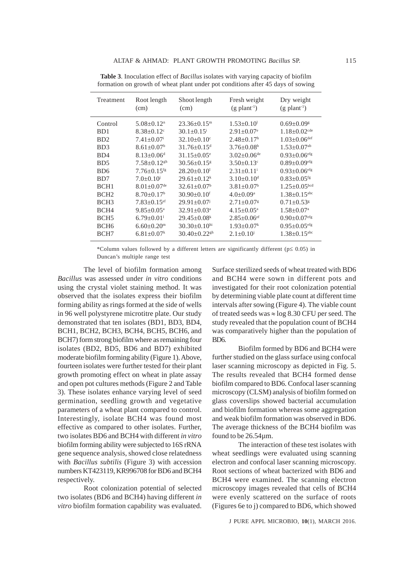| Treatment                   | Root length<br>(cm)           | Shoot length<br>(cm)           | Fresh weight<br>$(g$ plant <sup>-1</sup> ) | Dry weight<br>$(g$ plant <sup>-1</sup> ) |
|-----------------------------|-------------------------------|--------------------------------|--------------------------------------------|------------------------------------------|
| Control                     | $5.08 \pm 0.12$ <sup>n</sup>  | $23.36+0.15m$                  | $1.53 \pm 0.10$ <sup>1</sup>               | $0.69 \pm 0.09$ <sup>g</sup>             |
| BD1                         | $8.38 \pm 0.12$ <sup>c</sup>  | $30.1 \pm 0.15$ <sup>i</sup>   | $2.91 \pm 0.07$ <sup>e</sup>               | $1.18 \pm 0.02$ <sup>cde</sup>           |
| B <sub>D</sub> <sub>2</sub> | $7.41 \pm 0.07$ <sup>i</sup>  | $32.10+0.10^{\circ}$           | $2.48 + 0.17h$                             | $1.03 \pm 0.06$ <sup>def</sup>           |
| BD3                         | $8.61 \pm 0.07$ <sup>b</sup>  | $31.76 \pm 0.15$ <sup>d</sup>  | $3.76 \pm 0.08$ <sup>b</sup>               | $1.53 \pm 0.07$ <sup>ab</sup>            |
| B <sub>D</sub> 4            | $8.13 \pm 0.06$ <sup>d</sup>  | $31.15 + 0.05$ <sup>e</sup>    | $3.02 \pm 0.06$ <sup>de</sup>              | $0.93 \pm 0.06$ <sup>efg</sup>           |
| B <sub>D5</sub>             | $7.58 + 0.12$ <sup>gh</sup>   | $30.56 + 0.15$ <sup>g</sup>    | $3.50 \pm 0.13$ <sup>c</sup>               | $0.89 \pm 0.09$ <sup>efg</sup>           |
| B <sub>D6</sub>             | $7.76 \pm 0.15$ <sup>fg</sup> | $28.20+0.101$                  | $2.31 + 0.11$ <sup>i</sup>                 | $0.93 \pm 0.06$ <sup>efg</sup>           |
| BD7                         | $7.0 \pm 0.10$ <sup>j</sup>   | $29.61 \pm 0.12$ <sup>k</sup>  | $3.10\pm0.10^d$                            | $0.83 \pm 0.05$ <sup>fg</sup>            |
| BCH <sub>1</sub>            | $8.01 \pm 0.07$ <sup>de</sup> | $32.61 \pm 0.07^b$             | $3.81 \pm 0.07$ <sup>b</sup>               | $1.25 \pm 0.05$ bcd                      |
| BCH <sub>2</sub>            | $8.70 \pm 0.17$ <sup>b</sup>  | $30.90 \pm 0.10$ <sup>f</sup>  | $4.0 \pm 0.09^{\text{a}}$                  | $1.38 \pm 0.15$ <sup>abc</sup>           |
| BCH <sub>3</sub>            | $7.83 \pm 0.15$ <sup>ef</sup> | $29.91 \pm 0.07$               | $2.71 \pm 0.07$ <sup>g</sup>               | $0.71 \pm 0.53$ <sup>g</sup>             |
| BCH <sub>4</sub>            | $9.85 \pm 0.05^{\rm a}$       | $32.91 \pm 0.03^a$             | $4.15 \pm 0.05^{\text{a}}$                 | $1.58 \pm 0.07$ <sup>a</sup>             |
| BCH <sub>5</sub>            | $6.79 \pm 0.01$ <sup>1</sup>  | $29.45 \pm 0.08$ <sup>k</sup>  | $2.85 \pm 0.06$ <sup>ef</sup>              | $0.90 \pm 0.07$ <sup>efg</sup>           |
| BCH <sub>6</sub>            | $6.60 \pm 0.20$ <sup>m</sup>  | $30.30 \pm 0.10$ hi            | $1.93 \pm 0.07^k$                          | $0.95 \pm 0.05$ <sup>efg</sup>           |
| BCH7                        | $6.81 \pm 0.07$ <sup>k</sup>  | $30.40 \pm 0.22$ <sup>gh</sup> | $2.1 \pm 0.10^{i}$                         | $1.38 \pm 0.15$ <sup>abc</sup>           |

**Table 3**. Inoculation effect of *Bacillus* isolates with varying capacity of biofilm formation on growth of wheat plant under pot conditions after 45 days of sowing

\*Column values followed by a different letters are significantly different (p≤ 0.05) in Duncan's multiple range test

The level of biofilm formation among *Bacillus* was assessed under *in vitro* conditions using the crystal violet staining method. It was observed that the isolates express their biofilm forming ability as rings formed at the side of wells in 96 well polystyrene microtitre plate. Our study demonstrated that ten isolates (BD1, BD3, BD4, BCH1, BCH2, BCH3, BCH4, BCH5, BCH6, and BCH7) form strong biofilm where as remaining four isolates (BD2, BD5, BD6 and BD7) exhibited moderate biofilm forming ability (Figure 1). Above, fourteen isolates were further tested for their plant growth promoting effect on wheat in plate assay and open pot cultures methods (Figure 2 and Table 3). These isolates enhance varying level of seed germination, seedling growth and vegetative parameters of a wheat plant compared to control. Interestingly, isolate BCH4 was found most effective as compared to other isolates. Further, two isolates BD6 and BCH4 with different *in vitro* biofilm forming ability were subjected to 16S rRNA gene sequence analysis, showed close relatedness with *Bacillus subtilis* (Figure 3) with accession numbers KT423119, KR996708 for BD6 and BCH4 respectively.

Root colonization potential of selected two isolates (BD6 and BCH4) having different *in vitro* biofilm formation capability was evaluated. Surface sterilized seeds of wheat treated with BD6 and BCH4 were sown in different pots and investigated for their root colonization potential by determining viable plate count at different time intervals after sowing (Figure 4). The viable count of treated seeds was  $\approx$  log 8.30 CFU per seed. The study revealed that the population count of BCH4 was comparatively higher than the population of BD6.

Biofilm formed by BD6 and BCH4 were further studied on the glass surface using confocal laser scanning microscopy as depicted in Fig. 5. The results revealed that BCH4 formed dense biofilm compared to BD6. Confocal laser scanning microscopy (CLSM) analysis of biofilm formed on glass coverslips showed bacterial accumulation and biofilm formation whereas some aggregation and weak biofilm formation was observed in BD6. The average thickness of the BCH4 biofilm was found to be 26.54µm.

The interaction of these test isolates with wheat seedlings were evaluated using scanning electron and confocal laser scanning microscopy. Root sections of wheat bacterized with BD6 and BCH4 were examined. The scanning electron microscopy images revealed that cells of BCH4 were evenly scattered on the surface of roots (Figures 6e to j) compared to BD6, which showed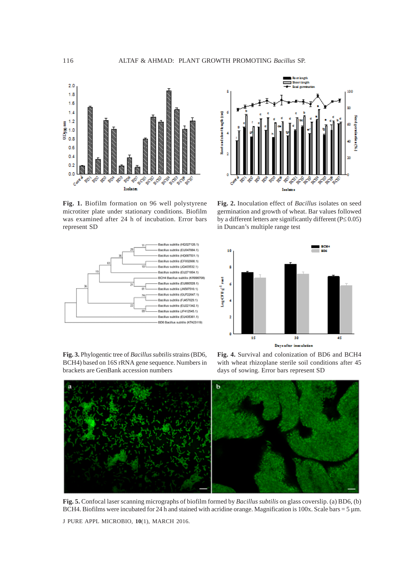

**Fig. 1.** Biofilm formation on 96 well polystyrene microtiter plate under stationary conditions. Biofilm was examined after 24 h of incubation. Error bars represent SD



**Fig. 3.** Phylogentic tree of *Bacillus subtilis* strains (BD6, BCH4) based on 16S rRNA gene sequence. Numbers in brackets are GenBank accession numbers



**Fig. 2.** Inoculation effect of *Bacillus* isolates on seed germination and growth of wheat. Bar values followed by a different letters are significantly different (P≤ 0.05) in Duncan's multiple range test



**Fig. 4.** Survival and colonization of BD6 and BCH4 with wheat rhizoplane sterile soil conditions after 45 days of sowing. Error bars represent SD



**Fig. 5.** Confocal laser scanning micrographs of biofilm formed by *Bacillus subtilis* on glass coverslip. (a) BD6, (b) BCH4. Biofilms were incubated for 24 h and stained with acridine orange. Magnification is  $100x$ . Scale bars = 5 µm.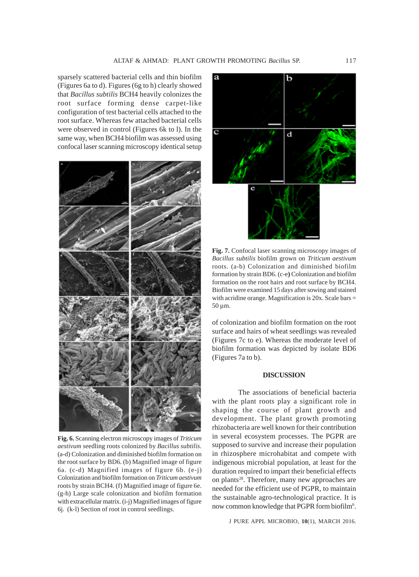sparsely scattered bacterial cells and thin biofilm (Figures 6a to d). Figures (6g to h) clearly showed that *Bacillus subtilis* BCH4 heavily colonizes the root surface forming dense carpet-like configuration of test bacterial cells attached to the root surface. Whereas few attached bacterial cells were observed in control (Figures 6k to l). In the same way, when BCH4 biofilm was assessed using confocal laser scanning microscopy identical setup



**Fig. 6.** Scanning electron microscopy images of *Triticum aestivum* seedling roots colonized by *Bacillus subtilis.* (a-d) Colonization and diminished biofilm formation on the root surface by BD6. (b) Magnified image of figure 6a. (c-d) Magnified images of figure 6b. (e-j) Colonization and biofilm formation on *Triticum aestivum* roots by strain BCH4. (f) Magnified image of figure 6e. (g-h) Large scale colonization and biofilm formation with extracellular matrix. (i-j) Magnified images of figure 6j.(k-l) Section of root in control seedlings.



**Fig. 7.** Confocal laser scanning microscopy images of *Bacillus subtilis* biofilm grown on *Triticum aestivum* roots. (a-b) Colonization and diminished biofilm formation by strain BD6. (c-e**)** Colonization and biofilm formation on the root hairs and root surface by BCH4. Biofilm were examined 15 days after sowing and stained with acridine orange. Magnification is  $20x$ . Scale bars  $=$  $50 \,\mathrm{\upmu m}$ .

of colonization and biofilm formation on the root surface and hairs of wheat seedlings was revealed (Figures 7c to e). Whereas the moderate level of biofilm formation was depicted by isolate BD6 (Figures 7a to b).

#### **DISCUSSION**

The associations of beneficial bacteria with the plant roots play a significant role in shaping the course of plant growth and development. The plant growth promoting rhizobacteria are well known for their contribution in several ecosystem processes. The PGPR are supposed to survive and increase their population in rhizosphere microhabitat and compete with indigenous microbial population, at least for the duration required to impart their beneficial effects on plants<sup>28</sup>. Therefore, many new approaches are needed for the efficient use of PGPR, to maintain the sustainable agro-technological practice. It is now common knowledge that PGPR form biofilm<sup>6</sup>.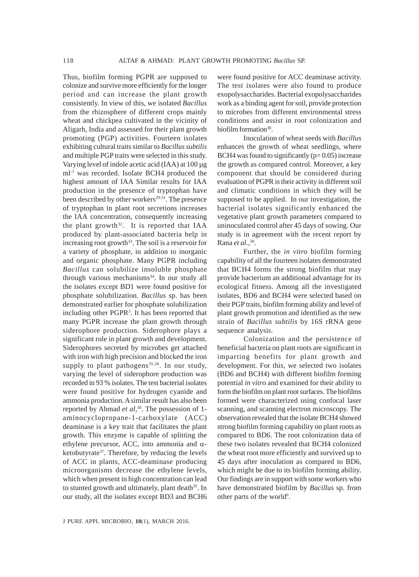Thus, biofilm forming PGPR are supposed to colonize and survive more efficiently for the longer period and can increase the plant growth consistently. In view of this, we isolated *Bacillus* from the rhizosphere of different crops mainly wheat and chickpea cultivated in the vicinity of Aligarh, India and assessed for their plant growth promoting (PGP) activities. Fourteen isolates exhibiting cultural traits similar to *Bacillus subtilis* and multiple PGP traits were selected in this study. Varying level of indole acetic acid (IAA) at 100 µg ml-1 was recorded. Isolate BCH4 produced the highest amount of IAA Similar results for IAA production in the presence of tryptophan have been described by other workers $29-31$ . The presence of tryptophan in plant root secretions increases the IAA concentration, consequently increasing the plant growth<sup>32</sup>. It is reported that IAA produced by plant-associated bacteria help in increasing root growth<sup>33</sup>. The soil is a reservoir for a variety of phosphate, in addition to inorganic and organic phosphate. Many PGPR including *Bacillus* can solubilize insoluble phosphate through various mechanisms<sup>34</sup>. In our study all the isolates except BD1 were found positive for phosphate solubilization. *Bacillus* sp. has been demonstrated earlier for phosphate solubilization including other PGPR<sup>3</sup>. It has been reported that many PGPR increase the plant growth through siderophore production. Siderophore plays a significant role in plant growth and development. Siderophores secreted by microbes get attached with iron with high precision and blocked the iron supply to plant pathogens<sup>35,36</sup>. In our study, varying the level of siderophore production was recorded in 93 % isolates. The test bacterial isolates were found positive for hydrogen cyanide and ammonia production. A similar result has also been reported by Ahmad *et al*,<sup>30</sup>. The possession of 1aminocyclopropane-1-carboxylate (ACC) deaminase is a key trait that facilitates the plant growth. This enzyme is capable of splitting the ethylene precursor, ACC, into ammonia and  $\alpha$ ketobutyrate<sup>37</sup>. Therefore, by reducing the levels of ACC in plants, ACC-deaminase producing microorganisms decrease the ethylene levels, which when present in high concentration can lead to stunted growth and ultimately, plant death<sup>35</sup>. In our study, all the isolates except BD3 and BCH6

were found positive for ACC deaminase activity. The test isolates were also found to produce exopolysaccharides. Bacterial exopolysaccharides work as a binding agent for soil, provide protection to microbes from different environmental stress conditions and assist in root colonization and biofilm formation<sup>38</sup>.

Inoculation of wheat seeds with *Bacillus* enhances the growth of wheat seedlings, where BCH4 was found to significantly  $(p= 0.05)$  increase the growth as compared control. Moreover, a key component that should be considered during evaluation of PGPR is their activity in different soil and climatic conditions in which they will be supposed to be applied. In our investigation, the bacterial isolates significantly enhanced the vegetative plant growth parameters compared to uninoculated control after 45 days of sowing. Our study is in agreement with the recent report by Rana *et al.,*39.

Further, the *in vitro* biofilm forming capability of all the fourteen isolates demonstrated that BCH4 forms the strong biofilm that may provide bacterium an additional advantage for its ecological fitness. Among all the investigated isolates, BD6 and BCH4 were selected based on their PGP traits, biofilm forming ability and level of plant growth promotion and identified as the new strain of *Bacillus subtilis* by 16S rRNA gene sequence analysis.

Colonization and the persistence of beneficial bacteria on plant roots are significant in imparting benefits for plant growth and development. For this, we selected two isolates (BD6 and BCH4) with different biofilm forming potential *in vitro* and examined for their ability to form the biofilm on plant root surfaces. The biofilms formed were characterized using confocal laser scanning, and scanning electron microscopy. The observation revealed that the isolate BCH4 showed strong biofilm forming capability on plant roots as compared to BD6. The root colonization data of these two isolates revealed that BCH4 colonized the wheat root more efficiently and survived up to 45 days after inoculation as compared to BD6, which might be due to its biofilm forming ability. Our findings are in support with some workers who have demonstrated biofilm by *Bacillus* sp. from other parts of the world<sup>6</sup>.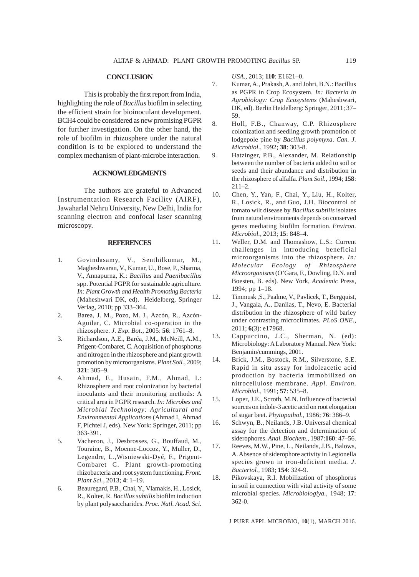#### **CONCLUSION**

This is probably the first report from India, highlighting the role of *Bacillus* biofilm in selecting the efficient strain for bioinoculant development. BCH4 could be considered as new promising PGPR for further investigation. On the other hand, the role of biofilm in rhizosphere under the natural condition is to be explored to understand the complex mechanism of plant-microbe interaction.

### **ACKNOWLEDGMENTS**

The authors are grateful to Advanced Instrumentation Research Facility (AIRF), Jawaharlal Nehru University, New Delhi, India for scanning electron and confocal laser scanning microscopy.

#### **REFERENCES**

- 1. Govindasamy, V., Senthilkumar, M., Magheshwaran, V., Kumar, U., Bose, P., Sharma, V., Annapurna, K.: *Bacillus* and *Paenibacillus* spp. Potential PGPR for sustainable agriculture. *In: Plant Growth and Health Promoting Bacteria* (Maheshwari DK, ed). Heidelberg, Springer Verlag, 2010; pp 333–364.
- 2. Barea, J. M., Pozo, M. J., Azcón, R., Azcón-Aguilar, C. Microbial co-operation in the rhizosphere. *J. Exp. Bot*., 2005: **56**: 1761–8.
- 3. Richardson, A.E., Baréa, J.M., McNeill, A.M., Prigent-Combaret, C. Acquisition of phosphorus and nitrogen in the rhizosphere and plant growth promotion by microorganisms. *Plant Soil.,* 2009; **321**: 305–9.
- 4. Ahmad, F., Husain, F.M., Ahmad, I.: Rhizosphere and root colonization by bacterial inoculants and their monitoring methods: A critical area in PGPR research. *In: Microbes and Microbial Technology: Agricultural and Environmental Applications* (Ahmad I, Ahmad F, Pichtel J, eds). New York: Springer, 2011; pp 363-391.
- 5. Vacheron, J., Desbrosses, G., Bouffaud, M., Touraine, B., Moenne-Loccoz, Y., Muller, D., Legendre, L.,Wisniewski-Dyé, F., Prigent-Combaret C. Plant growth-promoting rhizobacteria and root system functioning. *Front. Plant Sci.,* 2013; **4**: 1–19.
- 6. Beauregard, P.B., Chai, Y., Vlamakis, H., Losick, R., Kolter, R. *Bacillus subtilis* biofilm induction by plant polysaccharides. *Proc. Natl. Acad. Sci.*

*USA.,* 2013; **110**: E1621–0.

- 7. Kumar, A., Prakash, A. and Johri, B.N.: Bacillus as PGPR in Crop Ecosystem. *In: Bacteria in Agrobiology: Crop Ecosystems* (Maheshwari, DK, ed). Berlin Heidelberg: Springer, 2011; 37– 59.
- 8. Holl, F.B., Chanway, C.P. Rhizosphere colonization and seedling growth promotion of lodgepole pine by *Bacillus polymyxa*. *Can. J. Microbiol*., 1992; **38**: 303-8.
- 9. Hatzinger, P.B., Alexander, M. Relationship between the number of bacteria added to soil or seeds and their abundance and distribution in the rhizosphere of alfalfa. *Plant Soil.,* 1994; **158**: 211–2.
- 10. Chen, Y., Yan, F., Chai, Y., Liu, H., Kolter, R., Losick, R., and Guo, J.H. Biocontrol of tomato wilt disease by *Bacillus subtilis* isolates from natural environments depends on conserved genes mediating biofilm formation. *Environ. Microbiol.,* 2013; **15**: 848–4.
- 11. Weller, D.M. and Thomashow, L.S.: Current challenges in introducing beneficial microorganisms into the rhizosphere. *In: Molecular Ecology of Rhizosphere Microorganisms* (O'Gara, F., Dowling, D.N. and Boesten, B. eds)*.* New York, *Academic* Press, 1994; pp 1–18.
- 12. Timmusk ,S., Paalme, V., Pavlicek, T., Bergquist, J., Vangala, A., Danilas, T., Nevo, E. Bacterial distribution in the rhizosphere of wild barley under contrasting microclimates. *PLoS ONE*., 2011; **6**(3): e17968.
- 13. Cappuccino, J.C., Sherman, N. (ed): Microbiology: A Laboratory Manual. New York: Benjamin/cummings, 2001.
- 14. Brick, J.M., Bostock, R.M., Silverstone, S.E. Rapid in situ assay for indoleacetic acid production by bacteria immobilized on nitrocellulose membrane. *Appl. Environ. Microbiol.,* 1991; **57**: 535–8.
- 15. Loper, J.E., Scroth, M.N. Influence of bacterial sources on indole-3 acetic acid on root elongation of sugar beet. *Phytopathol.,* 1986; **76**: 386–9.
- 16. Schwyn, B., Neilands, J.B. Universal chemical assay for the detection and determination of siderophores. *Anal. Biochem.,* 1987:**160**: 47–56.
- 17. Reeves, M.W., Pine, L., Neilands, J.B., Balows, A. Absence of siderophore activity in Legionella species grown in iron-deficient media*. J. Bacteriol.,* 1983; **154**: 324-9.
- 18. Pikovskaya, R.I. Mobilization of phosphorus in soil in connection with vital activity of some microbial species. *Microbiologiya.,* 1948; **17**: 362-0.